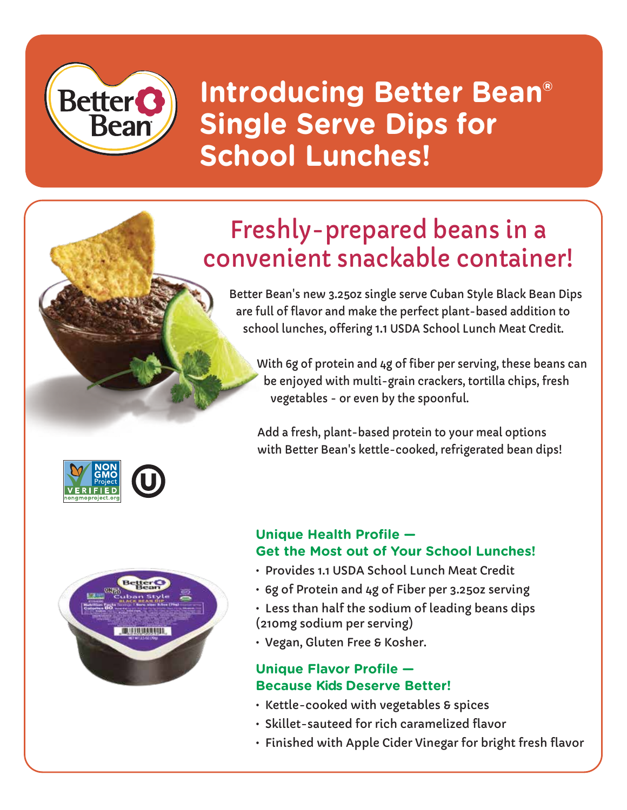# **Better<sup>O</sup> Bean**

**Introducing Better Bean® Single Serve Dips for School Lunches!** 

## Freshly-prepared beans in a convenient snackable container!

Better Bean's new 3.25oz single serve Cuban Style Black Bean Dips are full of flavor and make the perfect plant-based addition to school lunches, offering 1.1 USDA School Lunch Meat Credit.

With 6g of protein and 4g of fiber per serving, these beans can be enjoyed with multi-grain crackers, tortilla chips, fresh vegetables - or even by the spoonful.

Add a fresh, plant-based protein to your meal options with Better Bean's kettle-cooked, refrigerated bean dips!

#### **Unique Health Profile — Get the Most out of Your School Lunches!**

- Provides 1.1 USDA School Lunch Meat Credit
- 6g of Protein and 4g of Fiber per 3.25oz serving
- Less than half the sodium of leading beans dips (210mg sodium per serving)
- Vegan, Gluten Free & Kosher.

#### **Unique Flavor Profile — Because Kids Deserve Better!**

- Kettle-cooked with vegetables & spices
- Skillet-sauteed for rich caramelized flavor
- Finished with Apple Cider Vinegar for bright fresh flavor